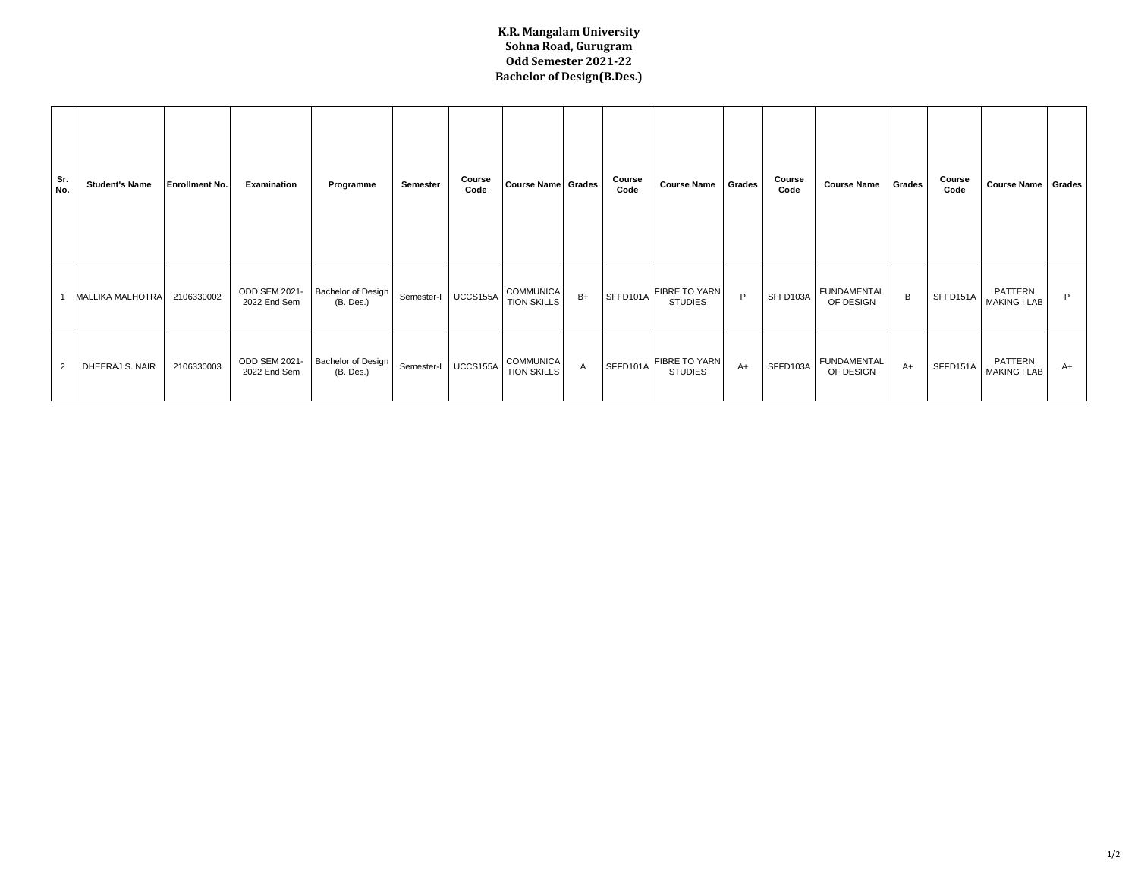## **K.R. Mangalam University Sohna Road, Gurugram Odd Semester 2021-22 Bachelor of Design(B.Des.)**

| Sr.<br>No. | <b>Student's Name</b>   | <b>Enrollment No.</b> | Examination                   | Programme                       | Semester   | Course<br>Code | Course Name Grades                     |              | Course<br>Code | <b>Course Name</b>                     | Grades | Course<br>Code | <b>Course Name</b>              | Grades | Course<br>Code | Course Name Grades             |    |
|------------|-------------------------|-----------------------|-------------------------------|---------------------------------|------------|----------------|----------------------------------------|--------------|----------------|----------------------------------------|--------|----------------|---------------------------------|--------|----------------|--------------------------------|----|
|            | <b>MALLIKA MALHOTRA</b> | 2106330002            | ODD SEM 2021-<br>2022 End Sem | Bachelor of Design<br>(B. Des.) | Semester-I | UCCS155A       | COMMUNICA<br><b>TION SKILLS</b>        | $B+$         | SFFD101A       | <b>FIBRE TO YARN</b><br><b>STUDIES</b> | P      | SFFD103A       | <b>FUNDAMENTAL</b><br>OF DESIGN | В      | SFFD151A       | PATTERN<br><b>MAKING I LAB</b> | P  |
| 2          | DHEERAJ S. NAIR         | 2106330003            | ODD SEM 2021-<br>2022 End Sem | Bachelor of Design<br>(B. Des.) | Semester-I | UCCS155A       | <b>COMMUNICA</b><br><b>TION SKILLS</b> | $\mathsf{A}$ | SFFD101A       | <b>FIBRE TO YARN</b><br><b>STUDIES</b> | $A+$   | SFFD103A       | <b>FUNDAMENTAL</b><br>OF DESIGN | $A+$   | SFFD151A       | PATTERN<br>MAKING I LAB        | A+ |